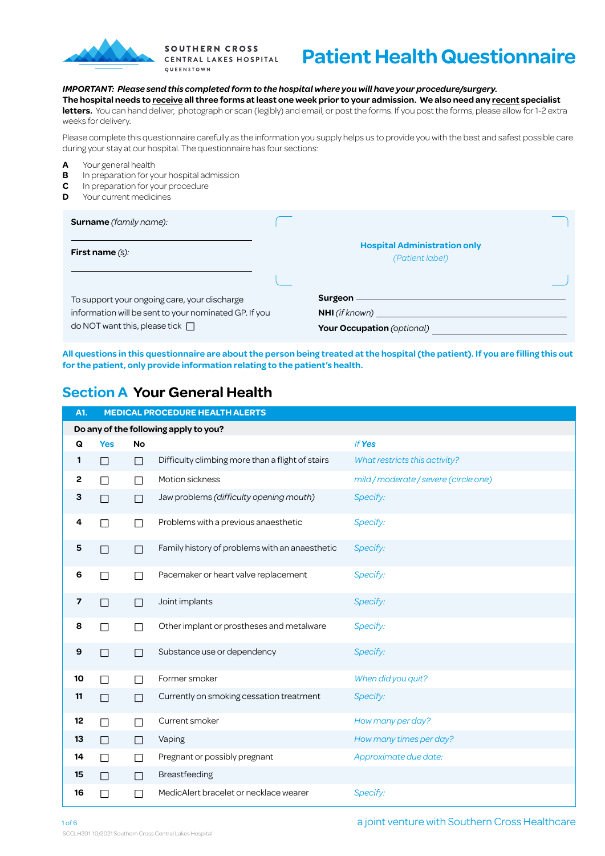

**SOUTHERN CROSS** CENTRAL LAKES HOSPITAL QUEENSTOWN

# **Patient Health Questionnaire**

#### *IMPORTANT: Please send this completed form to the hospital where you will have your procedure/surgery.*

**The hospital needs to receive all three forms at least one week prior to your admission. We also need any recent specialist**  letters. You can hand deliver, photograph or scan (legibly) and email, or post the forms. If you post the forms, please allow for 1-2 extra weeks for delivery.

Please complete this questionnaire carefully as the information you supply helps us to provide you with the best and safest possible care during your stay at our hospital. The questionnaire has four sections:

- **A** Your general health<br>**B** In preparation for your
- **B** In preparation for your hospital admission<br>**C** In preparation for your procedure
- **C** In preparation for your procedure
- **D** Your current medicines

| <b>Surname</b> (family name):                                                                                                                 |                                                        |
|-----------------------------------------------------------------------------------------------------------------------------------------------|--------------------------------------------------------|
| <b>First name</b> $(s)$ :                                                                                                                     | <b>Hospital Administration only</b><br>(Patient label) |
| To support your ongoing care, your discharge<br>information will be sent to your nominated GP. If you<br>do NOT want this, please tick $\Box$ | NHI (if known)<br><b>Your Occupation</b> (optional)    |

**All questions in this questionnaire are about the person being treated at the hospital (the patient). If you are filling this out for the patient, only provide information relating to the patient's health.**

### **Section A Your General Health**

| A1. |            | <b>MEDICAL PROCEDURE HEALTH ALERTS</b> |                                                  |                                       |  |  |  |  |  |  |  |  |
|-----|------------|----------------------------------------|--------------------------------------------------|---------------------------------------|--|--|--|--|--|--|--|--|
|     |            |                                        | Do any of the following apply to you?            |                                       |  |  |  |  |  |  |  |  |
| Q   | <b>Yes</b> | No                                     |                                                  | If Yes                                |  |  |  |  |  |  |  |  |
| 1   | П          | П                                      | Difficulty climbing more than a flight of stairs | What restricts this activity?         |  |  |  |  |  |  |  |  |
| 2   | П          | $\Box$                                 | Motion sickness                                  | mild / moderate / severe (circle one) |  |  |  |  |  |  |  |  |
| З   | П          | П                                      | Jaw problems (difficulty opening mouth)          | Specify:                              |  |  |  |  |  |  |  |  |
| 4   | □          | П                                      | Problems with a previous anaesthetic             | Specify:                              |  |  |  |  |  |  |  |  |
| 5   | □          | П                                      | Family history of problems with an anaesthetic   | Specify:                              |  |  |  |  |  |  |  |  |
| 6   | П          | П                                      | Pacemaker or heart valve replacement             | Specify:                              |  |  |  |  |  |  |  |  |
| 7   | П          | П                                      | Joint implants                                   | Specify:                              |  |  |  |  |  |  |  |  |
| 8   | П          | П                                      | Other implant or prostheses and metalware        | Specify:                              |  |  |  |  |  |  |  |  |
| 9   | П          | $\perp$                                | Substance use or dependency                      | Specify:                              |  |  |  |  |  |  |  |  |
| 10  | П          | $\Box$                                 | Former smoker                                    | When did you quit?                    |  |  |  |  |  |  |  |  |
| 11  | П          | $\Box$                                 | Currently on smoking cessation treatment         | Specify:                              |  |  |  |  |  |  |  |  |
| 12  | П          | $\Box$                                 | Current smoker                                   | How many per day?                     |  |  |  |  |  |  |  |  |
| 13  | П          | $\Box$                                 | Vaping                                           | How many times per day?               |  |  |  |  |  |  |  |  |
| 14  | $\Box$     | $\Box$                                 | Pregnant or possibly pregnant                    | Approximate due date:                 |  |  |  |  |  |  |  |  |
| 15  | П          | $\Box$                                 | Breastfeeding                                    |                                       |  |  |  |  |  |  |  |  |
| 16  | $\Box$     | П                                      | MedicAlert bracelet or necklace wearer           | Specify:                              |  |  |  |  |  |  |  |  |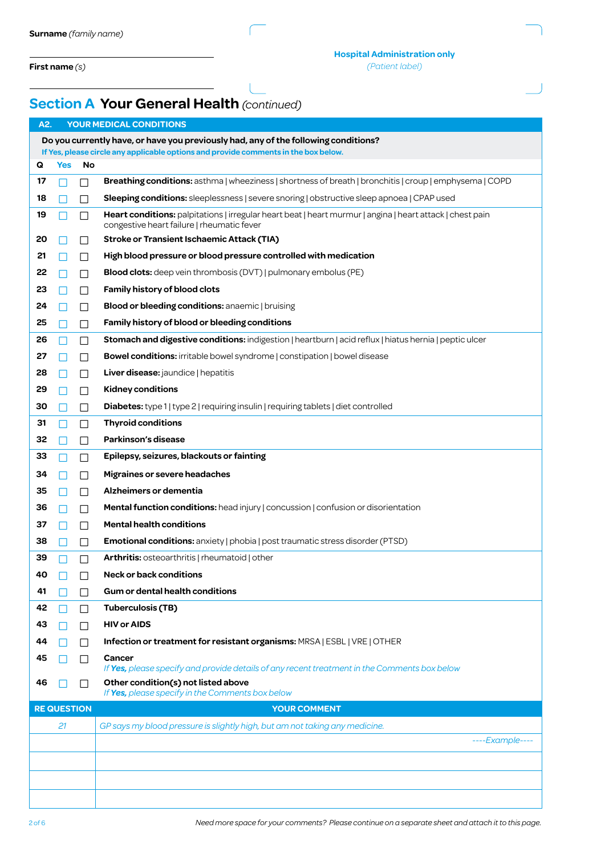**First name** *(s)*

## **Section A Your General Health** *(continued)*

| A2. |                                          | YOUR MEDICAL CONDITIONS                                                            |                                                                                                                                                         |  |  |  |  |  |  |  |  |
|-----|------------------------------------------|------------------------------------------------------------------------------------|---------------------------------------------------------------------------------------------------------------------------------------------------------|--|--|--|--|--|--|--|--|
|     |                                          |                                                                                    | Do you currently have, or have you previously had, any of the following conditions?                                                                     |  |  |  |  |  |  |  |  |
|     |                                          |                                                                                    | If Yes, please circle any applicable options and provide comments in the box below.                                                                     |  |  |  |  |  |  |  |  |
| Q   | <b>Yes</b>                               | No                                                                                 |                                                                                                                                                         |  |  |  |  |  |  |  |  |
| 17  |                                          | П                                                                                  | <b>Breathing conditions:</b> asthma   wheeziness   shortness of breath   bronchitis   croup   emphysema   COPD                                          |  |  |  |  |  |  |  |  |
| 18  |                                          | ΙI                                                                                 | <b>Sleeping conditions:</b> sleeplessness   severe snoring   obstructive sleep apnoea   CPAP used                                                       |  |  |  |  |  |  |  |  |
| 19  |                                          | ΙI                                                                                 | Heart conditions: palpitations   irregular heart beat   heart murmur   angina   heart attack   chest pain<br>congestive heart failure   rheumatic fever |  |  |  |  |  |  |  |  |
| 20  |                                          | ΙI                                                                                 | <b>Stroke or Transient Ischaemic Attack (TIA)</b>                                                                                                       |  |  |  |  |  |  |  |  |
| 21  |                                          | $\perp$                                                                            | High blood pressure or blood pressure controlled with medication                                                                                        |  |  |  |  |  |  |  |  |
| 22  |                                          | <b>Blood clots:</b> deep vein thrombosis (DVT)   pulmonary embolus (PE)<br>$\perp$ |                                                                                                                                                         |  |  |  |  |  |  |  |  |
| 23  | Family history of blood clots<br>$\perp$ |                                                                                    |                                                                                                                                                         |  |  |  |  |  |  |  |  |
| 24  |                                          | ΙI                                                                                 | <b>Blood or bleeding conditions:</b> anaemic   bruising                                                                                                 |  |  |  |  |  |  |  |  |
| 25  |                                          | ΙI                                                                                 | Family history of blood or bleeding conditions                                                                                                          |  |  |  |  |  |  |  |  |
| 26  |                                          | П                                                                                  | Stomach and digestive conditions: indigestion   heartburn   acid reflux   hiatus hernia   peptic ulcer                                                  |  |  |  |  |  |  |  |  |
| 27  |                                          | ΙI                                                                                 | <b>Bowel conditions:</b> irritable bowel syndrome   constipation   bowel disease                                                                        |  |  |  |  |  |  |  |  |
| 28  |                                          | ΙI                                                                                 | Liver disease: jaundice   hepatitis                                                                                                                     |  |  |  |  |  |  |  |  |
| 29  |                                          | $\perp$                                                                            | <b>Kidney conditions</b>                                                                                                                                |  |  |  |  |  |  |  |  |
| 30  |                                          | $\mathsf{L}$                                                                       | <b>Diabetes:</b> type 1   type 2   requiring insulin   requiring tablets   diet controlled                                                              |  |  |  |  |  |  |  |  |
| 31  |                                          | $\perp$                                                                            | <b>Thyroid conditions</b>                                                                                                                               |  |  |  |  |  |  |  |  |
| 32  |                                          | ΙI                                                                                 | Parkinson's disease                                                                                                                                     |  |  |  |  |  |  |  |  |
| 33  |                                          | ΙI                                                                                 | Epilepsy, seizures, blackouts or fainting                                                                                                               |  |  |  |  |  |  |  |  |
| 34  |                                          |                                                                                    | Migraines or severe headaches                                                                                                                           |  |  |  |  |  |  |  |  |
|     |                                          | $\perp$                                                                            |                                                                                                                                                         |  |  |  |  |  |  |  |  |
| 35  |                                          | П                                                                                  | Alzheimers or dementia                                                                                                                                  |  |  |  |  |  |  |  |  |
| 36  |                                          | П                                                                                  | <b>Mental function conditions:</b> head injury   concussion   confusion or disorientation                                                               |  |  |  |  |  |  |  |  |
| 37  |                                          | $\perp$                                                                            | <b>Mental health conditions</b>                                                                                                                         |  |  |  |  |  |  |  |  |
| 38  |                                          | $\perp$                                                                            | <b>Emotional conditions:</b> anxiety   phobia   post traumatic stress disorder (PTSD)                                                                   |  |  |  |  |  |  |  |  |
| 39  |                                          | $\mathsf{L}$                                                                       | <b>Arthritis:</b> osteoarthritis   rheumatoid   other                                                                                                   |  |  |  |  |  |  |  |  |
| 40  |                                          |                                                                                    | <b>Neck or back conditions</b>                                                                                                                          |  |  |  |  |  |  |  |  |
| 41  |                                          |                                                                                    | <b>Gum or dental health conditions</b>                                                                                                                  |  |  |  |  |  |  |  |  |
| 42  |                                          | ΙI                                                                                 | <b>Tuberculosis (TB)</b>                                                                                                                                |  |  |  |  |  |  |  |  |
| 43  |                                          | $\Box$                                                                             | <b>HIV or AIDS</b>                                                                                                                                      |  |  |  |  |  |  |  |  |
| 44  |                                          |                                                                                    | Infection or treatment for resistant organisms: MRSA   ESBL   VRE   OTHER                                                                               |  |  |  |  |  |  |  |  |
| 45  |                                          |                                                                                    | Cancer<br>If Yes, please specify and provide details of any recent treatment in the Comments box below                                                  |  |  |  |  |  |  |  |  |
| 46  |                                          |                                                                                    | Other condition(s) not listed above                                                                                                                     |  |  |  |  |  |  |  |  |
|     |                                          |                                                                                    | If Yes, please specify in the Comments box below                                                                                                        |  |  |  |  |  |  |  |  |
|     | <b>RE QUESTION</b>                       |                                                                                    | <b>YOUR COMMENT</b>                                                                                                                                     |  |  |  |  |  |  |  |  |
|     | 21                                       |                                                                                    | GP says my blood pressure is slightly high, but am not taking any medicine.<br>----Example----                                                          |  |  |  |  |  |  |  |  |
|     |                                          |                                                                                    |                                                                                                                                                         |  |  |  |  |  |  |  |  |
|     |                                          |                                                                                    |                                                                                                                                                         |  |  |  |  |  |  |  |  |
|     |                                          |                                                                                    |                                                                                                                                                         |  |  |  |  |  |  |  |  |
|     |                                          |                                                                                    |                                                                                                                                                         |  |  |  |  |  |  |  |  |

*Need more space for your comments? Please continue on a separate sheet and attach it to this page.*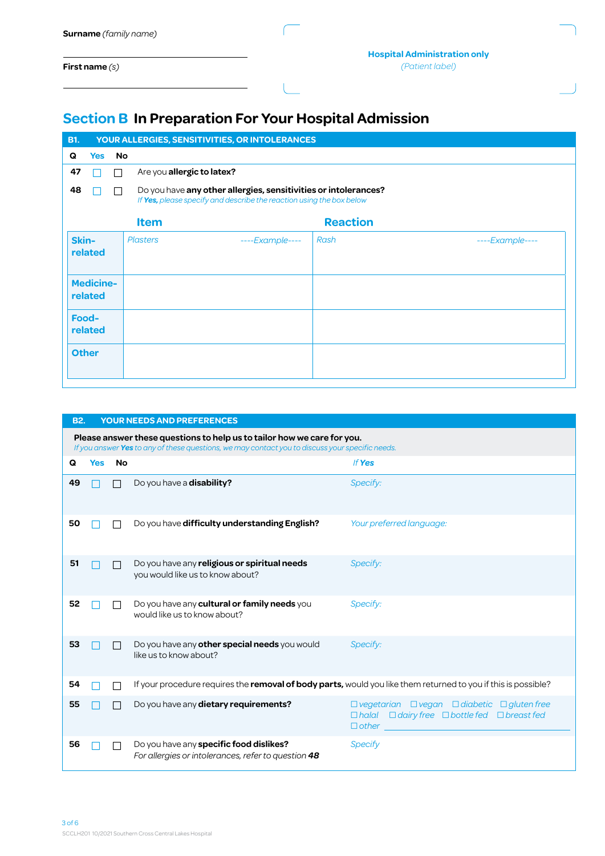| Surname (family name) |
|-----------------------|
|                       |

**First name** *(s)*

## **Section B In Preparation For Your Hospital Admission**

ſ

| <b>B1.</b>       |                             |                 | YOUR ALLERGIES, SENSITIVITIES, OR INTOLERANCES                                                                                          |                 |                 |  |  |  |  |  |
|------------------|-----------------------------|-----------------|-----------------------------------------------------------------------------------------------------------------------------------------|-----------------|-----------------|--|--|--|--|--|
| Q                | <b>Yes</b>                  | <b>No</b>       |                                                                                                                                         |                 |                 |  |  |  |  |  |
| 47               |                             | П               | Are you allergic to latex?                                                                                                              |                 |                 |  |  |  |  |  |
| 48               |                             | П               | Do you have any other allergies, sensitivities or intolerances?<br>If Yes, please specify and describe the reaction using the box below |                 |                 |  |  |  |  |  |
|                  |                             | <b>Item</b>     |                                                                                                                                         | <b>Reaction</b> |                 |  |  |  |  |  |
| Skin-            | related                     | <b>Plasters</b> | $---Example---$                                                                                                                         | Rash            | $---Example---$ |  |  |  |  |  |
|                  | <b>Medicine-</b><br>related |                 |                                                                                                                                         |                 |                 |  |  |  |  |  |
| Food-<br>related |                             |                 |                                                                                                                                         |                 |                 |  |  |  |  |  |
|                  | <b>Other</b>                |                 |                                                                                                                                         |                 |                 |  |  |  |  |  |

| <b>B2.</b> |            |           | <b>YOUR NEEDS AND PREFERENCES</b>                                                                              |                                                                                                                                                                |  |  |  |  |  |  |  |  |
|------------|------------|-----------|----------------------------------------------------------------------------------------------------------------|----------------------------------------------------------------------------------------------------------------------------------------------------------------|--|--|--|--|--|--|--|--|
|            |            |           | Please answer these questions to help us to tailor how we care for you.                                        |                                                                                                                                                                |  |  |  |  |  |  |  |  |
| Q          | <b>Yes</b> | <b>No</b> | If you answer Yes to any of these questions, we may contact you to discuss your specific needs.<br>If Yes      |                                                                                                                                                                |  |  |  |  |  |  |  |  |
|            |            |           |                                                                                                                |                                                                                                                                                                |  |  |  |  |  |  |  |  |
| 49         |            |           | Do you have a disability?                                                                                      | Specify:                                                                                                                                                       |  |  |  |  |  |  |  |  |
| 50         |            |           | Do you have difficulty understanding English?                                                                  | Your preferred language:                                                                                                                                       |  |  |  |  |  |  |  |  |
| 51         |            |           | Do you have any religious or spiritual needs<br>you would like us to know about?                               | Specify:                                                                                                                                                       |  |  |  |  |  |  |  |  |
| 52         |            |           | Do you have any cultural or family needs you<br>would like us to know about?                                   | Specify:                                                                                                                                                       |  |  |  |  |  |  |  |  |
| 53         |            |           | Do you have any other special needs you would<br>like us to know about?                                        | Specify:                                                                                                                                                       |  |  |  |  |  |  |  |  |
| 54         |            |           | If your procedure requires the removal of body parts, would you like them returned to you if this is possible? |                                                                                                                                                                |  |  |  |  |  |  |  |  |
| 55         |            |           | Do you have any dietary requirements?                                                                          | $\Box$ vegetarian $\Box$ vegan $\Box$ diabetic $\Box$ gluten free<br>$\Box$ dairy free $\Box$ bottle fed $\Box$ breast fed<br>$D$ <i>halal</i><br>$\Box$ other |  |  |  |  |  |  |  |  |
| 56         |            |           | Do you have any specific food dislikes?<br>For allergies or intolerances, refer to question 48                 | Specify                                                                                                                                                        |  |  |  |  |  |  |  |  |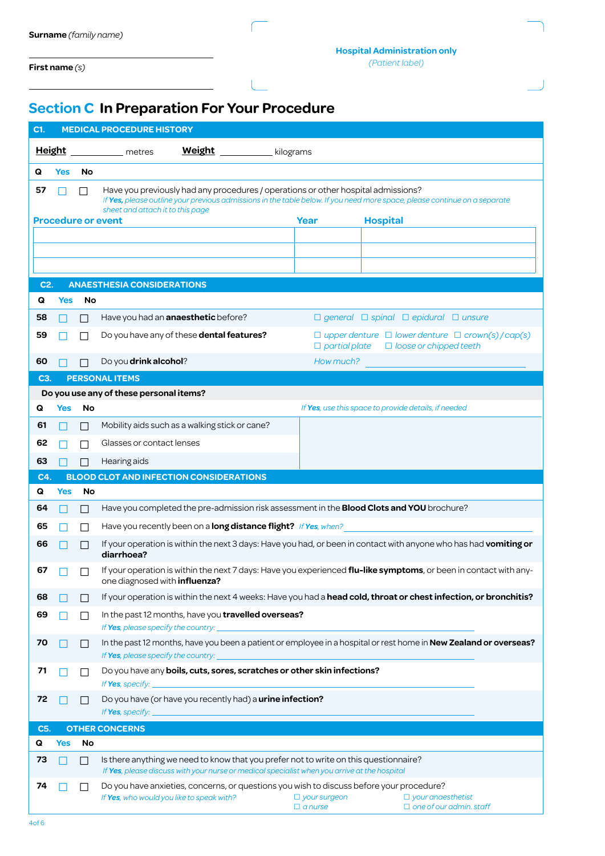**First name** *(s)*

## **Section C In Preparation For Your Procedure**

| C1.      | <b>MEDICAL PROCEDURE HISTORY</b>                                                                                                                              |                   |                                                                                                                                                                                       |                                       |                                                                                                   |  |  |  |  |
|----------|---------------------------------------------------------------------------------------------------------------------------------------------------------------|-------------------|---------------------------------------------------------------------------------------------------------------------------------------------------------------------------------------|---------------------------------------|---------------------------------------------------------------------------------------------------|--|--|--|--|
|          | <b>Weight</b><br><b>Height</b><br>kilograms<br>metres                                                                                                         |                   |                                                                                                                                                                                       |                                       |                                                                                                   |  |  |  |  |
| Q        | <b>Yes</b>                                                                                                                                                    | No                |                                                                                                                                                                                       |                                       |                                                                                                   |  |  |  |  |
| 57       |                                                                                                                                                               | П                 | Have you previously had any procedures / operations or other hospital admissions?                                                                                                     |                                       |                                                                                                   |  |  |  |  |
|          | If Yes, please outline your previous admissions in the table below. If you need more space, please continue on a separate<br>sheet and attach it to this page |                   |                                                                                                                                                                                       |                                       |                                                                                                   |  |  |  |  |
|          |                                                                                                                                                               |                   | <b>Procedure or event</b>                                                                                                                                                             | Year                                  | <b>Hospital</b>                                                                                   |  |  |  |  |
|          |                                                                                                                                                               |                   |                                                                                                                                                                                       |                                       |                                                                                                   |  |  |  |  |
|          |                                                                                                                                                               |                   |                                                                                                                                                                                       |                                       |                                                                                                   |  |  |  |  |
|          |                                                                                                                                                               |                   |                                                                                                                                                                                       |                                       |                                                                                                   |  |  |  |  |
| C2.<br>Q |                                                                                                                                                               |                   | <b>ANAESTHESIA CONSIDERATIONS</b>                                                                                                                                                     |                                       |                                                                                                   |  |  |  |  |
| 58       | Yes                                                                                                                                                           | No                | Have you had an <b>anaesthetic</b> before?                                                                                                                                            |                                       | $\Box$ general $\Box$ spinal $\Box$ epidural $\Box$ unsure                                        |  |  |  |  |
|          |                                                                                                                                                               | $\vert \ \ \vert$ |                                                                                                                                                                                       |                                       |                                                                                                   |  |  |  |  |
| 59       |                                                                                                                                                               |                   | Do you have any of these dental features?                                                                                                                                             | $\Box$ partial plate                  | $\Box$ upper denture $\Box$ lower denture $\Box$ crown(s)/cap(s)<br>$\Box$ loose or chipped teeth |  |  |  |  |
| 60       |                                                                                                                                                               |                   | Do you drink alcohol?                                                                                                                                                                 | How much?                             |                                                                                                   |  |  |  |  |
| C3.      |                                                                                                                                                               |                   | <b>PERSONAL ITEMS</b>                                                                                                                                                                 |                                       |                                                                                                   |  |  |  |  |
|          |                                                                                                                                                               |                   | Do you use any of these personal items?                                                                                                                                               |                                       |                                                                                                   |  |  |  |  |
| Q        | Yes                                                                                                                                                           | No                |                                                                                                                                                                                       |                                       | If Yes, use this space to provide details, if needed                                              |  |  |  |  |
| 61       |                                                                                                                                                               | П                 | Mobility aids such as a walking stick or cane?                                                                                                                                        |                                       |                                                                                                   |  |  |  |  |
| 62       |                                                                                                                                                               | $\Box$            | Glasses or contact lenses                                                                                                                                                             |                                       |                                                                                                   |  |  |  |  |
| 63       |                                                                                                                                                               | П                 | Hearing aids                                                                                                                                                                          |                                       |                                                                                                   |  |  |  |  |
| C4.      |                                                                                                                                                               |                   | <b>BLOOD CLOT AND INFECTION CONSIDERATIONS</b>                                                                                                                                        |                                       |                                                                                                   |  |  |  |  |
| Q<br>64  | <b>Yes</b>                                                                                                                                                    | <b>No</b>         | Have you completed the pre-admission risk assessment in the <b>Blood Clots and YOU</b> brochure?                                                                                      |                                       |                                                                                                   |  |  |  |  |
| 65       |                                                                                                                                                               | П                 | Have you recently been on a long distance flight? If Yes, when?                                                                                                                       |                                       |                                                                                                   |  |  |  |  |
| 66       |                                                                                                                                                               | $\Box$            | If your operation is within the next 3 days: Have you had, or been in contact with anyone who has had vomiting or                                                                     |                                       |                                                                                                   |  |  |  |  |
|          |                                                                                                                                                               | П                 | diarrhoea?                                                                                                                                                                            |                                       |                                                                                                   |  |  |  |  |
| 67       |                                                                                                                                                               |                   | If your operation is within the next 7 days: Have you experienced flu-like symptoms, or been in contact with any-<br>one diagnosed with <i>influenza?</i>                             |                                       |                                                                                                   |  |  |  |  |
| 68       |                                                                                                                                                               |                   | If your operation is within the next 4 weeks: Have you had a head cold, throat or chest infection, or bronchitis?                                                                     |                                       |                                                                                                   |  |  |  |  |
| 69       |                                                                                                                                                               |                   | In the past 12 months, have you travelled overseas?                                                                                                                                   |                                       |                                                                                                   |  |  |  |  |
|          |                                                                                                                                                               |                   | If Yes, please specify the country:                                                                                                                                                   |                                       |                                                                                                   |  |  |  |  |
| 70       |                                                                                                                                                               |                   | In the past 12 months, have you been a patient or employee in a hospital or rest home in New Zealand or overseas?<br>If Yes, please specify the country:                              |                                       |                                                                                                   |  |  |  |  |
| 71       |                                                                                                                                                               |                   | Do you have any boils, cuts, sores, scratches or other skin infections?                                                                                                               |                                       |                                                                                                   |  |  |  |  |
|          |                                                                                                                                                               |                   | If <b>Yes</b> , specify:                                                                                                                                                              |                                       |                                                                                                   |  |  |  |  |
| 72       |                                                                                                                                                               |                   | Do you have (or have you recently had) a urine infection?<br>If Yes, specify:                                                                                                         |                                       |                                                                                                   |  |  |  |  |
| C5.      |                                                                                                                                                               |                   | <b>OTHER CONCERNS</b>                                                                                                                                                                 |                                       |                                                                                                   |  |  |  |  |
| Q        | <b>Yes</b>                                                                                                                                                    | No                |                                                                                                                                                                                       |                                       |                                                                                                   |  |  |  |  |
| 73       |                                                                                                                                                               |                   | Is there anything we need to know that you prefer not to write on this questionnaire?<br>If Yes, please discuss with your nurse or medical specialist when you arrive at the hospital |                                       |                                                                                                   |  |  |  |  |
| 74       |                                                                                                                                                               |                   | Do you have anxieties, concerns, or questions you wish to discuss before your procedure?<br>If Yes, who would you like to speak with?                                                 | $\Box$ your surgeon<br>$\Box$ a nurse | $\Box$ your anaesthetist<br>$\Box$ one of our admin. staff                                        |  |  |  |  |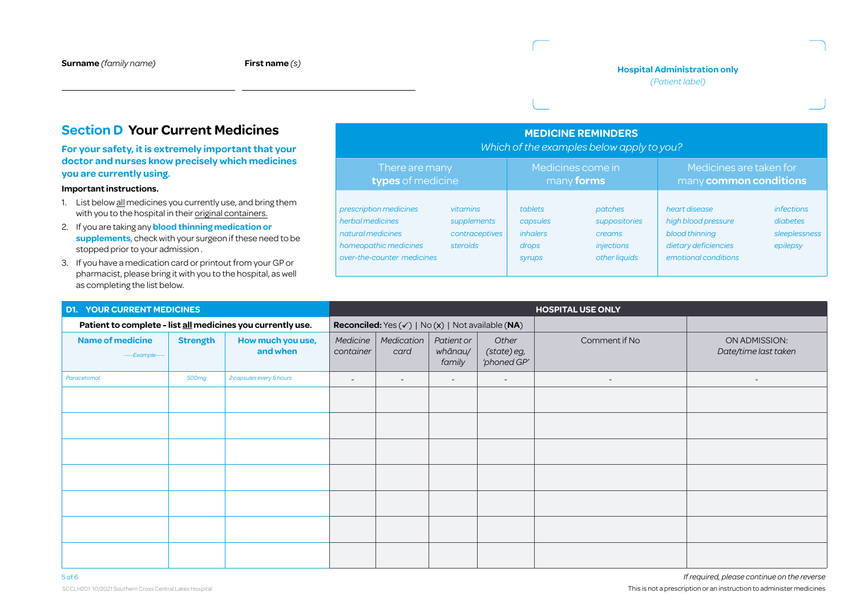#### **Hospital Administration only**

*(Patient label)*

### **Section D Your Current Medicines**

#### **For your safety, it is extremely important that your doctor and nurses know precisely which medicines you are currently using.**

#### **Important instructions.**

- 1. List below all medicines you currently use, and bring them with you to the hospital in their original containers.
- 2. If you are taking any **blood thinning medication or supplements**, check with your surgeon if these need to be stopped prior to your admission .
- 3. If you have a medication card or printout from your GP or pharmacist, please bring it with you to the hospital, as well as completing the list below.

| <b>MEDICINE REMINDERS</b><br>Which of the examples below apply to you?                                                 |                                                       |                                                           |                                                                   |                                                                                                        |                                                            |  |  |  |
|------------------------------------------------------------------------------------------------------------------------|-------------------------------------------------------|-----------------------------------------------------------|-------------------------------------------------------------------|--------------------------------------------------------------------------------------------------------|------------------------------------------------------------|--|--|--|
| There are many<br>types of medicine                                                                                    |                                                       |                                                           | Medicines come in<br>many forms                                   | Medicines are taken for<br>many common conditions                                                      |                                                            |  |  |  |
| prescription medicines<br>herbal medicines<br>natural medicines<br>homeopathic medicines<br>over-the-counter medicines | vitamins<br>supplements<br>contraceptives<br>steroids | tablets<br>capsules<br><i>inhalers</i><br>drops<br>syrups | patches<br>suppositories<br>creams<br>injections<br>other liquids | heart disease<br>high blood pressure<br>blood thinning<br>dietary deficiencies<br>emotional conditions | <i>infections</i><br>diabetes<br>sleeplessness<br>epilepsy |  |  |  |

| <b>D1. YOUR CURRENT MEDICINES</b>                                                              |                                                             |                          | <b>HOSPITAL USE ONLY</b> |                                 |                                                                |                          |                                       |                          |
|------------------------------------------------------------------------------------------------|-------------------------------------------------------------|--------------------------|--------------------------|---------------------------------|----------------------------------------------------------------|--------------------------|---------------------------------------|--------------------------|
|                                                                                                | Patient to complete - list all medicines you currently use. |                          |                          |                                 | Reconciled: Yes $(\checkmark)$   No $(x)$   Not available (NA) |                          |                                       |                          |
| <b>Name of medicine</b><br><b>Strength</b><br>How much you use,<br>and when<br>$---Example---$ |                                                             | Medicine<br>container    | Medication  <br>card     | Patient or<br>whānau/<br>family | Other<br>(state) eg,<br>'phoned GP'                            | Comment if No            | ON ADMISSION:<br>Date/time last taken |                          |
| Paracetomol                                                                                    | 500mg                                                       | 2 capsules every 6 hours | $\overline{\phantom{0}}$ | $\overline{\phantom{a}}$        | $-$                                                            | $\overline{\phantom{a}}$ | $\overline{\phantom{a}}$              | $\overline{\phantom{a}}$ |
|                                                                                                |                                                             |                          |                          |                                 |                                                                |                          |                                       |                          |
|                                                                                                |                                                             |                          |                          |                                 |                                                                |                          |                                       |                          |
|                                                                                                |                                                             |                          |                          |                                 |                                                                |                          |                                       |                          |
|                                                                                                |                                                             |                          |                          |                                 |                                                                |                          |                                       |                          |
|                                                                                                |                                                             |                          |                          |                                 |                                                                |                          |                                       |                          |
|                                                                                                |                                                             |                          |                          |                                 |                                                                |                          |                                       |                          |
|                                                                                                |                                                             |                          |                          |                                 |                                                                |                          |                                       |                          |

5 of 6